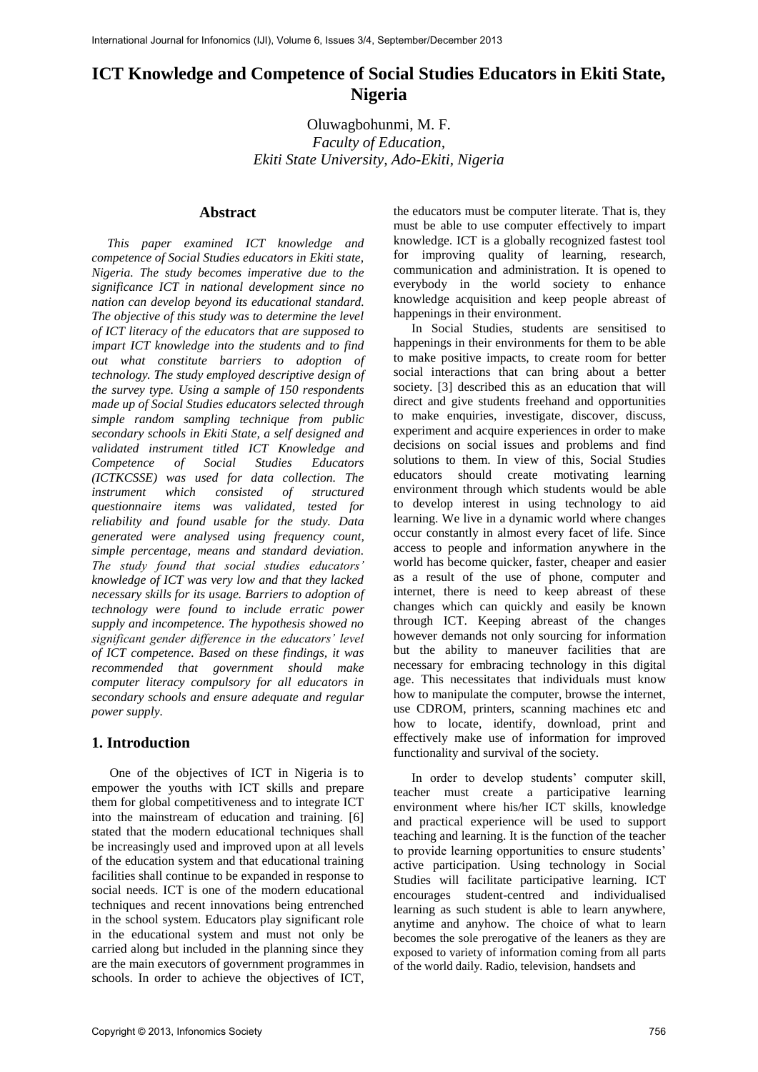# **ICT Knowledge and Competence of Social Studies Educators in Ekiti State, Nigeria**

Oluwagbohunmi, M. F. *Faculty of Education, Ekiti State University, Ado-Ekiti, Nigeria* 

### **Abstract**

*This paper examined ICT knowledge and competence of Social Studies educators in Ekiti state, Nigeria. The study becomes imperative due to the significance ICT in national development since no nation can develop beyond its educational standard. The objective of this study was to determine the level of ICT literacy of the educators that are supposed to impart ICT knowledge into the students and to find out what constitute barriers to adoption of technology. The study employed descriptive design of the survey type. Using a sample of 150 respondents made up of Social Studies educators selected through simple random sampling technique from public secondary schools in Ekiti State, a self designed and validated instrument titled ICT Knowledge and Competence of Social Studies Educators (ICTKCSSE) was used for data collection. The instrument which consisted of structured questionnaire items was validated, tested for reliability and found usable for the study. Data generated were analysed using frequency count, simple percentage, means and standard deviation. The study found that social studies educators' knowledge of ICT was very low and that they lacked necessary skills for its usage. Barriers to adoption of technology were found to include erratic power supply and incompetence. The hypothesis showed no significant gender difference in the educators' level of ICT competence. Based on these findings, it was recommended that government should make computer literacy compulsory for all educators in secondary schools and ensure adequate and regular power supply.* 

#### **1. Introduction**

One of the objectives of ICT in Nigeria is to empower the youths with ICT skills and prepare them for global competitiveness and to integrate ICT into the mainstream of education and training. [6] stated that the modern educational techniques shall be increasingly used and improved upon at all levels of the education system and that educational training facilities shall continue to be expanded in response to social needs. ICT is one of the modern educational techniques and recent innovations being entrenched in the school system. Educators play significant role in the educational system and must not only be carried along but included in the planning since they are the main executors of government programmes in schools. In order to achieve the objectives of ICT,

the educators must be computer literate. That is, they must be able to use computer effectively to impart knowledge. ICT is a globally recognized fastest tool for improving quality of learning, research, communication and administration. It is opened to everybody in the world society to enhance knowledge acquisition and keep people abreast of happenings in their environment.

In Social Studies, students are sensitised to happenings in their environments for them to be able to make positive impacts, to create room for better social interactions that can bring about a better society. [3] described this as an education that will direct and give students freehand and opportunities to make enquiries, investigate, discover, discuss, experiment and acquire experiences in order to make decisions on social issues and problems and find solutions to them. In view of this, Social Studies educators should create motivating learning environment through which students would be able to develop interest in using technology to aid learning. We live in a dynamic world where changes occur constantly in almost every facet of life. Since access to people and information anywhere in the world has become quicker, faster, cheaper and easier as a result of the use of phone, computer and internet, there is need to keep abreast of these changes which can quickly and easily be known through ICT. Keeping abreast of the changes however demands not only sourcing for information but the ability to maneuver facilities that are necessary for embracing technology in this digital age. This necessitates that individuals must know how to manipulate the computer, browse the internet, use CDROM, printers, scanning machines etc and how to locate, identify, download, print and effectively make use of information for improved functionality and survival of the society.

In order to develop students' computer skill, teacher must create a participative learning environment where his/her ICT skills, knowledge and practical experience will be used to support teaching and learning. It is the function of the teacher to provide learning opportunities to ensure students' active participation. Using technology in Social Studies will facilitate participative learning. ICT encourages student-centred and individualised learning as such student is able to learn anywhere, anytime and anyhow. The choice of what to learn becomes the sole prerogative of the leaners as they are exposed to variety of information coming from all parts of the world daily. Radio, television, handsets and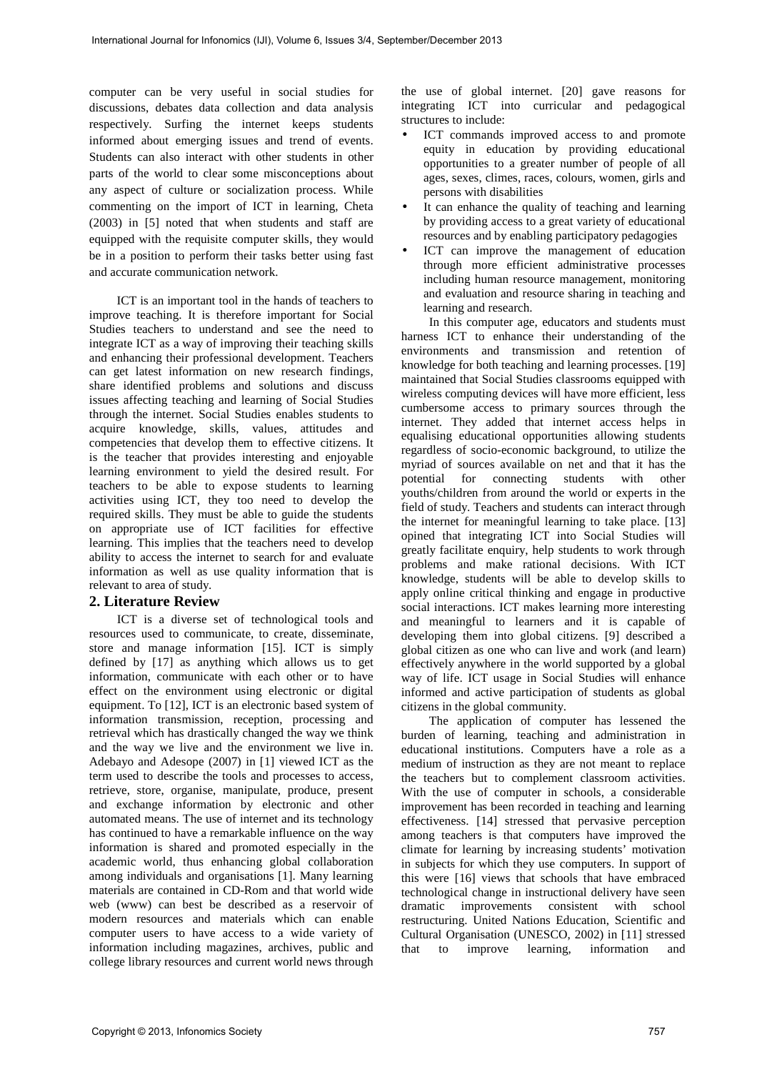computer can be very useful in social studies for discussions, debates data collection and data analysis respectively. Surfing the internet keeps students informed about emerging issues and trend of events. Students can also interact with other students in other parts of the world to clear some misconceptions about any aspect of culture or socialization process. While commenting on the import of ICT in learning, Cheta (2003) in [5] noted that when students and staff are equipped with the requisite computer skills, they would be in a position to perform their tasks better using fast and accurate communication network.

ICT is an important tool in the hands of teachers to improve teaching. It is therefore important for Social Studies teachers to understand and see the need to integrate ICT as a way of improving their teaching skills and enhancing their professional development. Teachers can get latest information on new research findings, share identified problems and solutions and discuss issues affecting teaching and learning of Social Studies through the internet. Social Studies enables students to acquire knowledge, skills, values, attitudes and competencies that develop them to effective citizens. It is the teacher that provides interesting and enjoyable learning environment to yield the desired result. For teachers to be able to expose students to learning activities using ICT, they too need to develop the required skills. They must be able to guide the students on appropriate use of ICT facilities for effective learning. This implies that the teachers need to develop ability to access the internet to search for and evaluate information as well as use quality information that is relevant to area of study.

# **2. Literature Review**

ICT is a diverse set of technological tools and resources used to communicate, to create, disseminate, store and manage information [15]. ICT is simply defined by [17] as anything which allows us to get information, communicate with each other or to have effect on the environment using electronic or digital equipment. To [12], ICT is an electronic based system of information transmission, reception, processing and retrieval which has drastically changed the way we think and the way we live and the environment we live in. Adebayo and Adesope (2007) in [1] viewed ICT as the term used to describe the tools and processes to access, retrieve, store, organise, manipulate, produce, present and exchange information by electronic and other automated means. The use of internet and its technology has continued to have a remarkable influence on the way information is shared and promoted especially in the academic world, thus enhancing global collaboration among individuals and organisations [1]. Many learning materials are contained in CD-Rom and that world wide web (www) can best be described as a reservoir of modern resources and materials which can enable computer users to have access to a wide variety of information including magazines, archives, public and college library resources and current world news through

the use of global internet. [20] gave reasons for integrating ICT into curricular and pedagogical structures to include:

- ICT commands improved access to and promote equity in education by providing educational opportunities to a greater number of people of all ages, sexes, climes, races, colours, women, girls and persons with disabilities
- It can enhance the quality of teaching and learning by providing access to a great variety of educational resources and by enabling participatory pedagogies
- ICT can improve the management of education through more efficient administrative processes including human resource management, monitoring and evaluation and resource sharing in teaching and learning and research.

In this computer age, educators and students must harness ICT to enhance their understanding of the environments and transmission and retention of knowledge for both teaching and learning processes. [19] maintained that Social Studies classrooms equipped with wireless computing devices will have more efficient, less cumbersome access to primary sources through the internet. They added that internet access helps in equalising educational opportunities allowing students regardless of socio-economic background, to utilize the myriad of sources available on net and that it has the potential for connecting students with other youths/children from around the world or experts in the field of study. Teachers and students can interact through the internet for meaningful learning to take place. [13] opined that integrating ICT into Social Studies will greatly facilitate enquiry, help students to work through problems and make rational decisions. With ICT knowledge, students will be able to develop skills to apply online critical thinking and engage in productive social interactions. ICT makes learning more interesting and meaningful to learners and it is capable of developing them into global citizens. [9] described a global citizen as one who can live and work (and learn) effectively anywhere in the world supported by a global way of life. ICT usage in Social Studies will enhance informed and active participation of students as global citizens in the global community.

The application of computer has lessened the burden of learning, teaching and administration in educational institutions. Computers have a role as a medium of instruction as they are not meant to replace the teachers but to complement classroom activities. With the use of computer in schools, a considerable improvement has been recorded in teaching and learning effectiveness. [14] stressed that pervasive perception among teachers is that computers have improved the climate for learning by increasing students' motivation in subjects for which they use computers. In support of this were [16] views that schools that have embraced technological change in instructional delivery have seen dramatic improvements consistent with school restructuring. United Nations Education, Scientific and Cultural Organisation (UNESCO, 2002) in [11] stressed that to improve learning, information and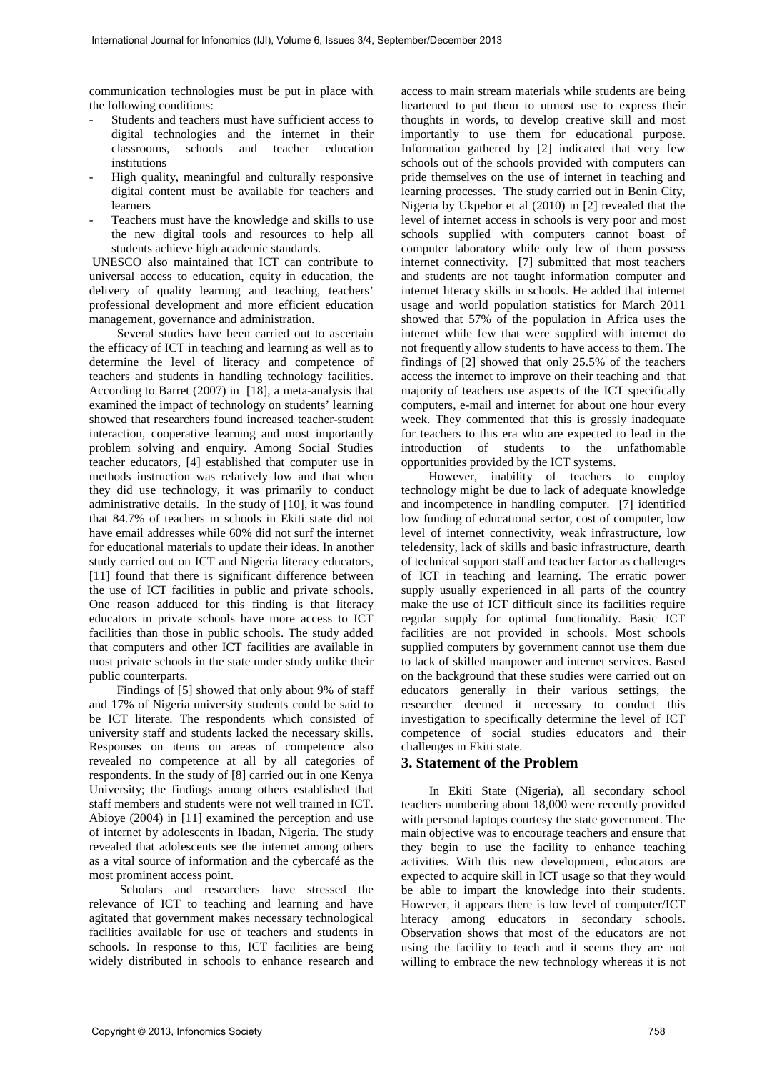communication technologies must be put in place with the following conditions:

- Students and teachers must have sufficient access to digital technologies and the internet in their classrooms, schools and teacher education institutions
- High quality, meaningful and culturally responsive digital content must be available for teachers and learners
- Teachers must have the knowledge and skills to use the new digital tools and resources to help all students achieve high academic standards.

 UNESCO also maintained that ICT can contribute to universal access to education, equity in education, the delivery of quality learning and teaching, teachers' professional development and more efficient education management, governance and administration.

Several studies have been carried out to ascertain the efficacy of ICT in teaching and learning as well as to determine the level of literacy and competence of teachers and students in handling technology facilities. According to Barret (2007) in [18], a meta-analysis that examined the impact of technology on students' learning showed that researchers found increased teacher-student interaction, cooperative learning and most importantly problem solving and enquiry. Among Social Studies teacher educators, [4] established that computer use in methods instruction was relatively low and that when they did use technology, it was primarily to conduct administrative details. In the study of [10], it was found that 84.7% of teachers in schools in Ekiti state did not have email addresses while 60% did not surf the internet for educational materials to update their ideas. In another study carried out on ICT and Nigeria literacy educators, [11] found that there is significant difference between the use of ICT facilities in public and private schools. One reason adduced for this finding is that literacy educators in private schools have more access to ICT facilities than those in public schools. The study added that computers and other ICT facilities are available in most private schools in the state under study unlike their public counterparts.

Findings of [5] showed that only about 9% of staff and 17% of Nigeria university students could be said to be ICT literate. The respondents which consisted of university staff and students lacked the necessary skills. Responses on items on areas of competence also revealed no competence at all by all categories of respondents. In the study of [8] carried out in one Kenya University; the findings among others established that staff members and students were not well trained in ICT. Abioye (2004) in [11] examined the perception and use of internet by adolescents in Ibadan, Nigeria. The study revealed that adolescents see the internet among others as a vital source of information and the cybercafé as the most prominent access point.

 Scholars and researchers have stressed the relevance of ICT to teaching and learning and have agitated that government makes necessary technological facilities available for use of teachers and students in schools. In response to this, ICT facilities are being widely distributed in schools to enhance research and

access to main stream materials while students are being heartened to put them to utmost use to express their thoughts in words, to develop creative skill and most importantly to use them for educational purpose. Information gathered by [2] indicated that very few schools out of the schools provided with computers can pride themselves on the use of internet in teaching and learning processes. The study carried out in Benin City, Nigeria by Ukpebor et al (2010) in [2] revealed that the level of internet access in schools is very poor and most schools supplied with computers cannot boast of computer laboratory while only few of them possess internet connectivity. [7] submitted that most teachers and students are not taught information computer and internet literacy skills in schools. He added that internet usage and world population statistics for March 2011 showed that 57% of the population in Africa uses the internet while few that were supplied with internet do not frequently allow students to have access to them. The findings of [2] showed that only 25.5% of the teachers access the internet to improve on their teaching and that majority of teachers use aspects of the ICT specifically computers, e-mail and internet for about one hour every week. They commented that this is grossly inadequate for teachers to this era who are expected to lead in the introduction of students to the unfathomable opportunities provided by the ICT systems.

However, inability of teachers to employ technology might be due to lack of adequate knowledge and incompetence in handling computer. [7] identified low funding of educational sector, cost of computer, low level of internet connectivity, weak infrastructure, low teledensity, lack of skills and basic infrastructure, dearth of technical support staff and teacher factor as challenges of ICT in teaching and learning. The erratic power supply usually experienced in all parts of the country make the use of ICT difficult since its facilities require regular supply for optimal functionality. Basic ICT facilities are not provided in schools. Most schools supplied computers by government cannot use them due to lack of skilled manpower and internet services. Based on the background that these studies were carried out on educators generally in their various settings, the researcher deemed it necessary to conduct this investigation to specifically determine the level of ICT competence of social studies educators and their challenges in Ekiti state.

#### **3. Statement of the Problem**

In Ekiti State (Nigeria), all secondary school teachers numbering about 18,000 were recently provided with personal laptops courtesy the state government. The main objective was to encourage teachers and ensure that they begin to use the facility to enhance teaching activities. With this new development, educators are expected to acquire skill in ICT usage so that they would be able to impart the knowledge into their students. However, it appears there is low level of computer/ICT literacy among educators in secondary schools. Observation shows that most of the educators are not using the facility to teach and it seems they are not willing to embrace the new technology whereas it is not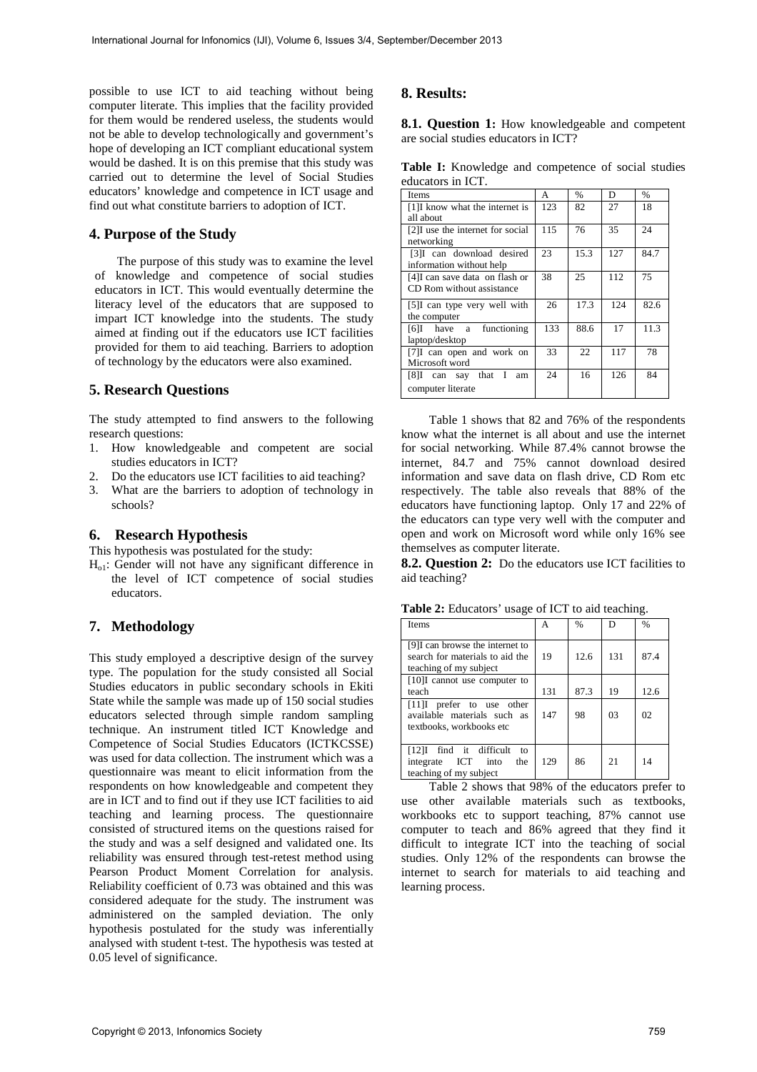possible to use ICT to aid teaching without being computer literate. This implies that the facility provided for them would be rendered useless, the students would not be able to develop technologically and government's hope of developing an ICT compliant educational system would be dashed. It is on this premise that this study was carried out to determine the level of Social Studies educators' knowledge and competence in ICT usage and find out what constitute barriers to adoption of ICT.

#### **4. Purpose of the Study**

The purpose of this study was to examine the level of knowledge and competence of social studies educators in ICT. This would eventually determine the literacy level of the educators that are supposed to impart ICT knowledge into the students. The study aimed at finding out if the educators use ICT facilities provided for them to aid teaching. Barriers to adoption of technology by the educators were also examined.

#### **5. Research Questions**

The study attempted to find answers to the following research questions:

- 1. How knowledgeable and competent are social studies educators in ICT?
- 2. Do the educators use ICT facilities to aid teaching?
- 3. What are the barriers to adoption of technology in schools?

#### **6. Research Hypothesis**

This hypothesis was postulated for the study:

 $H<sub>o1</sub>$ : Gender will not have any significant difference in the level of ICT competence of social studies educators.

#### **7. Methodology**

This study employed a descriptive design of the survey type. The population for the study consisted all Social Studies educators in public secondary schools in Ekiti State while the sample was made up of 150 social studies educators selected through simple random sampling technique. An instrument titled ICT Knowledge and Competence of Social Studies Educators (ICTKCSSE) was used for data collection. The instrument which was a questionnaire was meant to elicit information from the respondents on how knowledgeable and competent they are in ICT and to find out if they use ICT facilities to aid teaching and learning process. The questionnaire consisted of structured items on the questions raised for the study and was a self designed and validated one. Its reliability was ensured through test-retest method using Pearson Product Moment Correlation for analysis. Reliability coefficient of 0.73 was obtained and this was considered adequate for the study. The instrument was administered on the sampled deviation. The only hypothesis postulated for the study was inferentially analysed with student t-test. The hypothesis was tested at 0.05 level of significance.

## **8. Results:**

**8.1. Question 1:** How knowledgeable and competent are social studies educators in ICT?

**Table I:** Knowledge and competence of social studies educators in ICT.

| Items                           | А   | $\frac{0}{0}$ | D   | $\frac{0}{0}$ |
|---------------------------------|-----|---------------|-----|---------------|
| [1] know what the internet is   | 123 | 82            | 27  | 18            |
| all about                       |     |               |     |               |
| [2] use the internet for social | 115 | 76            | 35  | 24            |
| networking                      |     |               |     |               |
| [3]I can download desired       | 23  | 15.3          | 127 | 84.7          |
| information without help        |     |               |     |               |
| [4] can save data on flash or   | 38  | 25            | 112 | 75            |
| CD Rom without assistance       |     |               |     |               |
| [5] can type very well with     | 26  | 17.3          | 124 | 82.6          |
| the computer                    |     |               |     |               |
| [6] have a functioning          | 133 | 88.6          | 17  | 11.3          |
| laptop/desktop                  |     |               |     |               |
| [7] can open and work on        | 33  | 22            | 117 | 78            |
| Microsoft word                  |     |               |     |               |
| [8]I can say that I<br>am       | 24  | 16            | 126 | 84            |
| computer literate               |     |               |     |               |

Table 1 shows that 82 and 76% of the respondents know what the internet is all about and use the internet for social networking. While 87.4% cannot browse the internet, 84.7 and 75% cannot download desired information and save data on flash drive, CD Rom etc respectively. The table also reveals that 88% of the educators have functioning laptop. Only 17 and 22% of the educators can type very well with the computer and open and work on Microsoft word while only 16% see themselves as computer literate.

**8.2. Question 2:** Do the educators use ICT facilities to aid teaching?

**Table 2:** Educators' usage of ICT to aid teaching.

| <b>Items</b>                                                                                | А   | $\frac{0}{0}$ | D   | $\frac{0}{0}$ |
|---------------------------------------------------------------------------------------------|-----|---------------|-----|---------------|
| [9] can browse the internet to<br>search for materials to aid the<br>teaching of my subject | 19  | 12.6          | 131 | 87.4          |
| [10]I cannot use computer to<br>teach                                                       | 131 | 87.3          | 19  | 12.6          |
| $[11]$ prefer to use other<br>available materials such as<br>textbooks, workbooks etc       | 147 | 98            | 03  | 02            |
| find it difficult<br>$[12]$ I<br>to<br>integrate ICT into<br>the<br>teaching of my subject  | 129 | 86            | 21  | 14            |

Table 2 shows that 98% of the educators prefer to use other available materials such as textbooks, workbooks etc to support teaching, 87% cannot use computer to teach and 86% agreed that they find it difficult to integrate ICT into the teaching of social studies. Only 12% of the respondents can browse the internet to search for materials to aid teaching and learning process.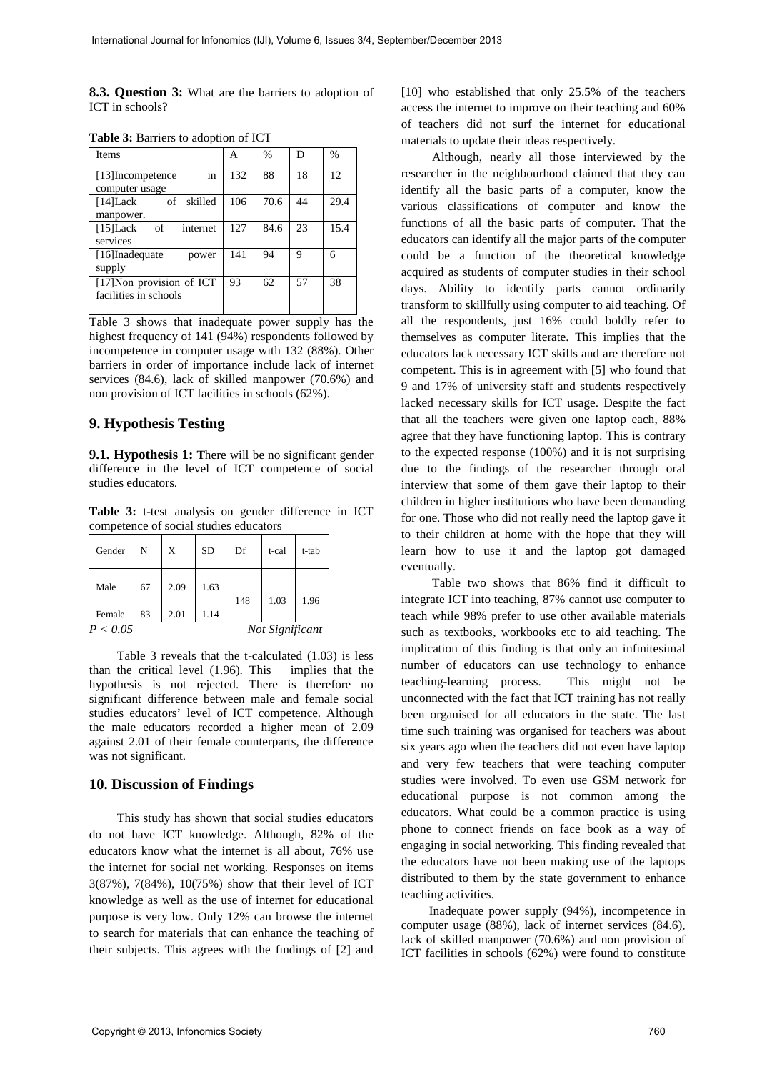**8.3. Question 3:** What are the barriers to adoption of ICT in schools?

| <b>Items</b>                                       | А   | $\%$ | D  | $\frac{0}{0}$ |
|----------------------------------------------------|-----|------|----|---------------|
| [13] Incompetence<br>in                            | 132 | 88   | 18 | 12            |
| computer usage<br>[14]Lack<br>of skilled           | 106 | 70.6 | 44 | 29.4          |
| manpower.                                          |     |      |    |               |
| [15] Lack<br>of<br>internet<br>services            | 127 | 84.6 | 23 | 15.4          |
| [16]Inadequate<br>power<br>supply                  | 141 | 94   | 9  | 6             |
| [17] Non provision of ICT<br>facilities in schools | 93  | 62   | 57 | 38            |

**Table 3:** Barriers to adoption of ICT

Table 3 shows that inadequate power supply has the highest frequency of 141 (94%) respondents followed by incompetence in computer usage with 132 (88%). Other barriers in order of importance include lack of internet services (84.6), lack of skilled manpower (70.6%) and non provision of ICT facilities in schools (62%).

#### **9. Hypothesis Testing**

**9.1. Hypothesis 1: T**here will be no significant gender difference in the level of ICT competence of social studies educators.

**Table 3:** t-test analysis on gender difference in ICT competence of social studies educators

| Gender                      | N  | X    | <b>SD</b> | Df  | t-cal | t-tab |
|-----------------------------|----|------|-----------|-----|-------|-------|
| Male                        | 67 | 2.09 | 1.63      |     |       |       |
| Female                      | 83 | 2.01 | 1.14      | 148 | 1.03  | 1.96  |
| P < 0.05<br>Not Significant |    |      |           |     |       |       |

Table 3 reveals that the t-calculated  $(1.03)$  is less the critical level  $(1.96)$ . This implies that the than the critical level  $(1.96)$ . This hypothesis is not rejected. There is therefore no significant difference between male and female social studies educators' level of ICT competence. Although the male educators recorded a higher mean of 2.09 against 2.01 of their female counterparts, the difference was not significant.

#### **10. Discussion of Findings**

This study has shown that social studies educators do not have ICT knowledge. Although, 82% of the educators know what the internet is all about, 76% use the internet for social net working. Responses on items 3(87%), 7(84%), 10(75%) show that their level of ICT knowledge as well as the use of internet for educational purpose is very low. Only 12% can browse the internet to search for materials that can enhance the teaching of their subjects. This agrees with the findings of [2] and

[10] who established that only 25.5% of the teachers access the internet to improve on their teaching and 60% of teachers did not surf the internet for educational materials to update their ideas respectively.

 Although, nearly all those interviewed by the researcher in the neighbourhood claimed that they can identify all the basic parts of a computer, know the various classifications of computer and know the functions of all the basic parts of computer. That the educators can identify all the major parts of the computer could be a function of the theoretical knowledge acquired as students of computer studies in their school days. Ability to identify parts cannot ordinarily transform to skillfully using computer to aid teaching. Of all the respondents, just 16% could boldly refer to themselves as computer literate. This implies that the educators lack necessary ICT skills and are therefore not competent. This is in agreement with [5] who found that 9 and 17% of university staff and students respectively lacked necessary skills for ICT usage. Despite the fact that all the teachers were given one laptop each, 88% agree that they have functioning laptop. This is contrary to the expected response (100%) and it is not surprising due to the findings of the researcher through oral interview that some of them gave their laptop to their children in higher institutions who have been demanding for one. Those who did not really need the laptop gave it to their children at home with the hope that they will learn how to use it and the laptop got damaged eventually.

 Table two shows that 86% find it difficult to integrate ICT into teaching, 87% cannot use computer to teach while 98% prefer to use other available materials such as textbooks, workbooks etc to aid teaching. The implication of this finding is that only an infinitesimal number of educators can use technology to enhance teaching-learning process. This might not be unconnected with the fact that ICT training has not really been organised for all educators in the state. The last time such training was organised for teachers was about six years ago when the teachers did not even have laptop and very few teachers that were teaching computer studies were involved. To even use GSM network for educational purpose is not common among the educators. What could be a common practice is using phone to connect friends on face book as a way of engaging in social networking. This finding revealed that the educators have not been making use of the laptops distributed to them by the state government to enhance teaching activities.

 Inadequate power supply (94%), incompetence in computer usage (88%), lack of internet services (84.6), lack of skilled manpower (70.6%) and non provision of ICT facilities in schools (62%) were found to constitute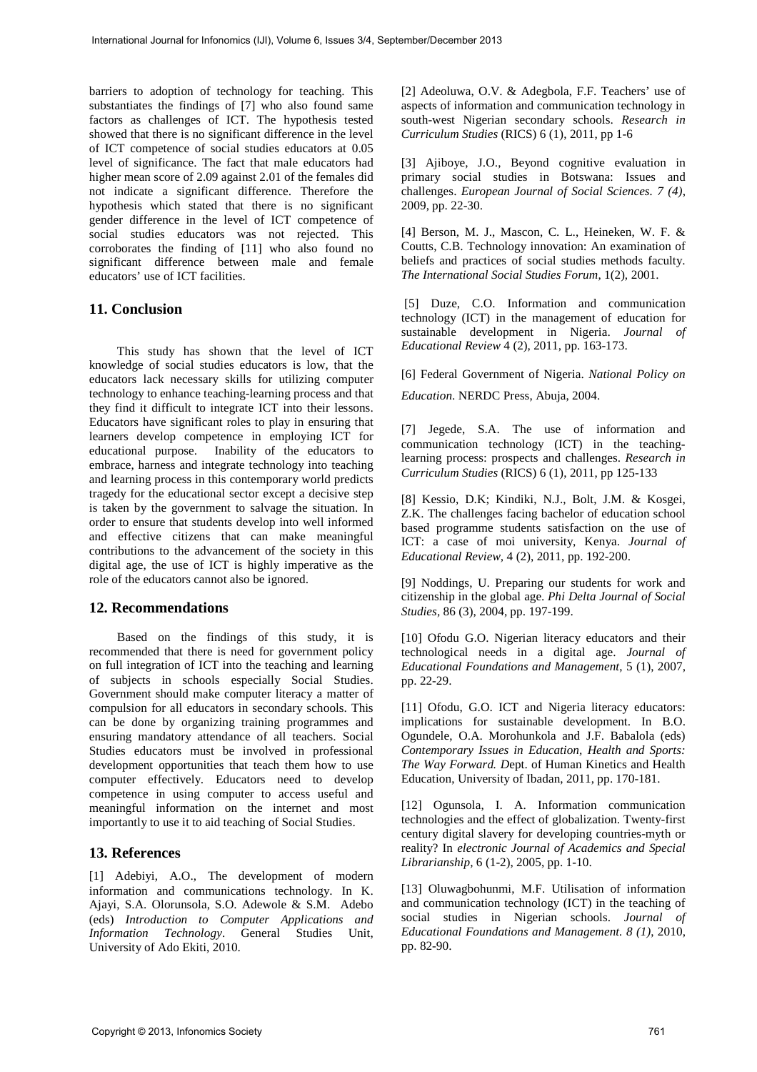barriers to adoption of technology for teaching. This substantiates the findings of [7] who also found same factors as challenges of ICT. The hypothesis tested showed that there is no significant difference in the level of ICT competence of social studies educators at 0.05 level of significance. The fact that male educators had higher mean score of 2.09 against 2.01 of the females did not indicate a significant difference. Therefore the hypothesis which stated that there is no significant gender difference in the level of ICT competence of social studies educators was not rejected. This corroborates the finding of [11] who also found no significant difference between male and female educators' use of ICT facilities.

# **11. Conclusion**

This study has shown that the level of ICT knowledge of social studies educators is low, that the educators lack necessary skills for utilizing computer technology to enhance teaching-learning process and that they find it difficult to integrate ICT into their lessons. Educators have significant roles to play in ensuring that learners develop competence in employing ICT for educational purpose. Inability of the educators to embrace, harness and integrate technology into teaching and learning process in this contemporary world predicts tragedy for the educational sector except a decisive step is taken by the government to salvage the situation. In order to ensure that students develop into well informed and effective citizens that can make meaningful contributions to the advancement of the society in this digital age, the use of ICT is highly imperative as the role of the educators cannot also be ignored.

# **12. Recommendations**

Based on the findings of this study, it is recommended that there is need for government policy on full integration of ICT into the teaching and learning of subjects in schools especially Social Studies. Government should make computer literacy a matter of compulsion for all educators in secondary schools. This can be done by organizing training programmes and ensuring mandatory attendance of all teachers. Social Studies educators must be involved in professional development opportunities that teach them how to use computer effectively. Educators need to develop competence in using computer to access useful and meaningful information on the internet and most importantly to use it to aid teaching of Social Studies.

# **13. References**

[1] Adebiyi, A.O., The development of modern information and communications technology. In K. Ajayi, S.A. Olorunsola, S.O. Adewole & S.M. Adebo (eds) *Introduction to Computer Applications and Information Technology*. General Studies Unit, University of Ado Ekiti, 2010.

[2] Adeoluwa, O.V. & Adegbola, F.F. Teachers' use of aspects of information and communication technology in south-west Nigerian secondary schools. *Research in Curriculum Studies* (RICS) 6 (1), 2011, pp 1-6

[3] Ajiboye, J.O., Beyond cognitive evaluation in primary social studies in Botswana: Issues and challenges. *European Journal of Social Sciences. 7 (4)*, 2009, pp. 22-30.

[4] Berson, M. J., Mascon, C. L., Heineken, W. F. & Coutts, C.B. Technology innovation: An examination of beliefs and practices of social studies methods faculty. *The International Social Studies Forum*, 1(2), 2001.

 [5] Duze, C.O. Information and communication technology (ICT) in the management of education for sustainable development in Nigeria. *Journal of Educational Review* 4 (2), 2011, pp. 163-173.

[6] Federal Government of Nigeria. *National Policy on Education*. NERDC Press, Abuja, 2004.

[7] Jegede, S.A. The use of information and communication technology (ICT) in the teachinglearning process: prospects and challenges. *Research in Curriculum Studies* (RICS) 6 (1), 2011, pp 125-133

[8] Kessio, D.K; Kindiki, N.J., Bolt, J.M. & Kosgei, Z.K. The challenges facing bachelor of education school based programme students satisfaction on the use of ICT: a case of moi university, Kenya. *Journal of Educational Review,* 4 (2), 2011, pp. 192-200.

[9] Noddings, U. Preparing our students for work and citizenship in the global age. *Phi Delta Journal of Social Studies,* 86 (3), 2004, pp. 197-199.

[10] Ofodu G.O. Nigerian literacy educators and their technological needs in a digital age. *Journal of Educational Foundations and Management*, 5 (1), 2007, pp. 22-29.

[11] Ofodu, G.O. ICT and Nigeria literacy educators: implications for sustainable development. In B.O. Ogundele, O.A. Morohunkola and J.F. Babalola (eds) *Contemporary Issues in Education, Health and Sports: The Way Forward. D*ept. of Human Kinetics and Health Education, University of Ibadan, 2011, pp. 170-181.

[12] Ogunsola, I. A. Information communication technologies and the effect of globalization. Twenty-first century digital slavery for developing countries-myth or reality? In *electronic Journal of Academics and Special Librarianship,* 6 (1-2), 2005, pp. 1-10.

[13] Oluwagbohunmi, M.F. Utilisation of information and communication technology (ICT) in the teaching of social studies in Nigerian schools. *Journal of Educational Foundations and Management. 8 (1)*, 2010, pp. 82-90.